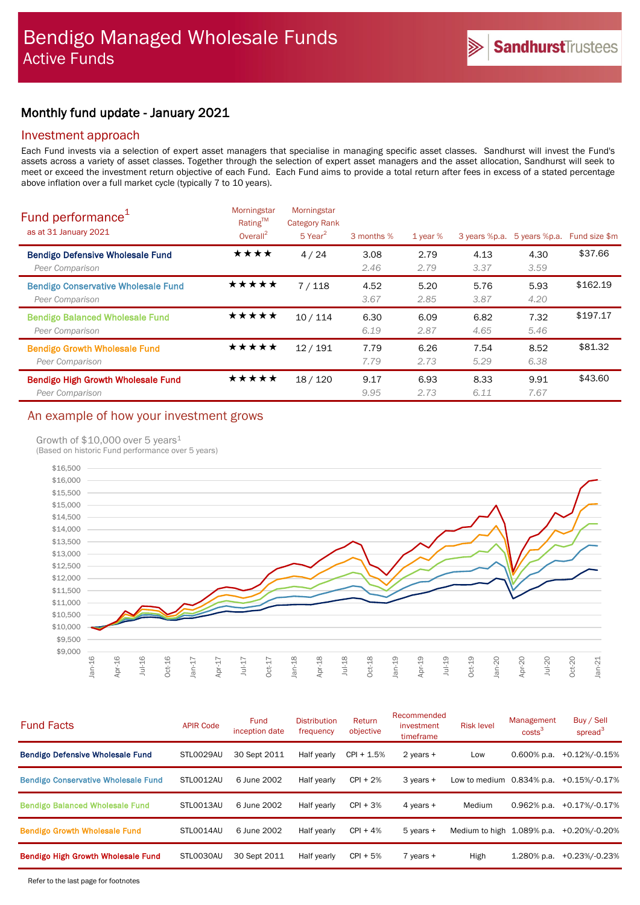# Monthly fund update - January 2021

### Investment approach

Each Fund invests via a selection of expert asset managers that specialise in managing specific asset classes. Sandhurst will invest the Fund's assets across a variety of asset classes. Together through the selection of expert asset managers and the asset allocation, Sandhurst will seek to meet or exceed the investment return objective of each Fund. Each Fund aims to provide a total return after fees in excess of a stated percentage above inflation over a full market cycle (typically 7 to 10 years).

| Fund performance <sup>1</sup><br>as at 31 January 2021        | Morningstar<br>Rating™<br>Overall $^2$ | Morningstar<br><b>Category Rank</b><br>$5$ Year <sup>2</sup> | 3 months %   | 1 year $%$   | 3 years %p.a. | 5 years %p.a. | Fund size \$m |
|---------------------------------------------------------------|----------------------------------------|--------------------------------------------------------------|--------------|--------------|---------------|---------------|---------------|
| <b>Bendigo Defensive Wholesale Fund</b><br>Peer Comparison    | ★★★★                                   | 4/24                                                         | 3.08<br>2.46 | 2.79<br>2.79 | 4.13<br>3.37  | 4.30<br>3.59  | \$37.66       |
| <b>Bendigo Conservative Wholesale Fund</b><br>Peer Comparison | ★★★★★                                  | 7/118                                                        | 4.52<br>3.67 | 5.20<br>2.85 | 5.76<br>3.87  | 5.93<br>4.20  | \$162.19      |
| <b>Bendigo Balanced Wholesale Fund</b><br>Peer Comparison     | ★★★★★                                  | 10/114                                                       | 6.30<br>6.19 | 6.09<br>2.87 | 6.82<br>4.65  | 7.32<br>5.46  | \$197.17      |
| <b>Bendigo Growth Wholesale Fund</b><br>Peer Comparison       | ★★★★★                                  | 12/191                                                       | 7.79<br>7.79 | 6.26<br>2.73 | 7.54<br>5.29  | 8.52<br>6.38  | \$81.32       |
| <b>Bendigo High Growth Wholesale Fund</b><br>Peer Comparison  | ★★★★★                                  | 18/120                                                       | 9.17<br>9.95 | 6.93<br>2.73 | 8.33<br>6.11  | 9.91<br>7.67  | \$43.60       |

## An example of how your investment grows

### Growth of  $$10,000$  over 5 years<sup>1</sup>

(Based on historic Fund performance over 5 years)



| <b>Fund Facts</b>                          | <b>APIR Code</b> | Fund<br>inception date | <b>Distribution</b><br>frequency | Return<br>objective | Recommended<br>investment<br>timeframe | <b>Risk level</b>            | Management<br>costs <sup>3</sup> | Buy / Sell<br>spread <sup>3</sup> |
|--------------------------------------------|------------------|------------------------|----------------------------------|---------------------|----------------------------------------|------------------------------|----------------------------------|-----------------------------------|
| <b>Bendigo Defensive Wholesale Fund</b>    | STLO029AU        | 30 Sept 2011           | Half yearly                      | $CPI + 1.5%$        | 2 years +                              | Low                          | $0.600\%$ p.a.                   | +0.12%/-0.15%                     |
| <b>Bendigo Conservative Wholesale Fund</b> | STLO012AU        | 6 June 2002            | Half yearly                      | $CPI + 2%$          | 3 years +                              | Low to medium $0.834\%$ p.a. |                                  | $+0.15\%$ /-0.17%                 |
| <b>Bendigo Balanced Wholesale Fund</b>     | STLO013AU        | 6 June 2002            | Half yearly                      | $CPI + 3%$          | 4 years +                              | Medium                       | 0.962% p.a.                      | +0.17%/-0.17%                     |
| <b>Bendigo Growth Wholesale Fund</b>       | STLO014AU        | 6 June 2002            | Half yearly                      | $CPI + 4%$          | $5$ years $+$                          | Medium to high 1.089% p.a.   |                                  | +0.20%/-0.20%                     |
| <b>Bendigo High Growth Wholesale Fund</b>  | STL0030AU        | 30 Sept 2011           | Half yearly                      | $CPI + 5%$          | $7$ years $+$                          | High                         | 1.280% p.a.                      | +0.23%/-0.23%                     |
|                                            |                  |                        |                                  |                     |                                        |                              |                                  |                                   |

Refer to the last page for footnotes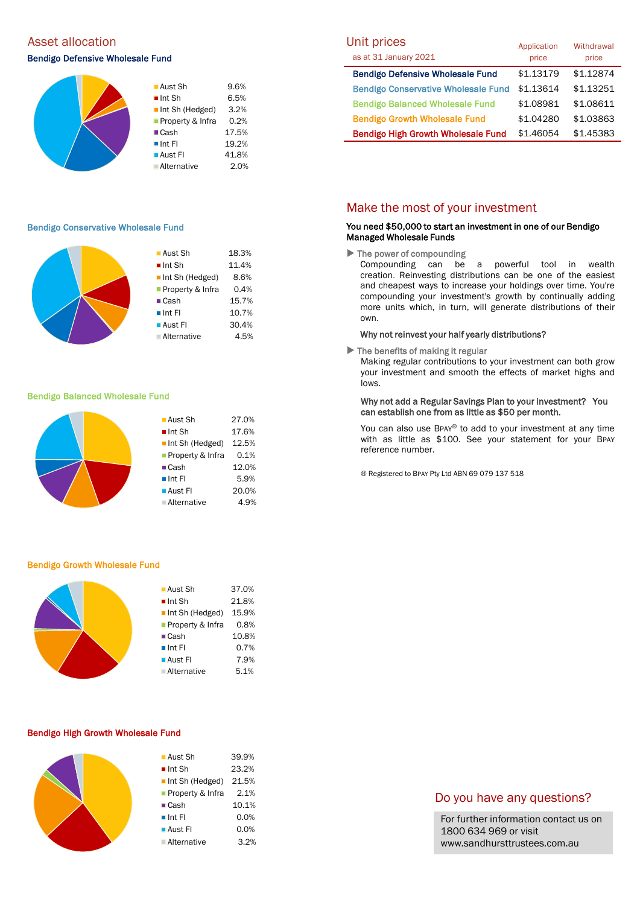# Asset allocation and the Unit prices of the Unit prices of the Unit prices of the Unit prices of the Unit prices

### Bendigo Defensive Wholesale Fund



#### Bendigo Conservative Wholesale Fund

| $\blacksquare$ Aust Sh         | 18.3% |
|--------------------------------|-------|
| $\blacksquare$ Int Sh          | 11.4% |
| $\blacksquare$ Int Sh (Hedged) | 8.6%  |
| Property & Infra               | 0.4%  |
| $\blacksquare$ Cash            | 15.7% |
| $\blacksquare$ Int FI          | 10.7% |
| ■ Aust Fl                      | 30.4% |
| <b>Alternative</b>             | 4.5%  |
|                                |       |

#### Bendigo Balanced Wholesale Fund



#### Bendigo Growth Wholesale Fund

| $\blacksquare$ Aust Sh         | 37.0% |
|--------------------------------|-------|
| $\blacksquare$ Int Sh          | 21.8% |
| $\blacksquare$ Int Sh (Hedged) | 15.9% |
| Property & Infra               | 0.8%  |
| $\blacksquare$ Cash            | 10.8% |
| $\blacksquare$ Int FI          | 0.7%  |
| $\blacksquare$ Aust FI         | 7.9%  |
| ■ Alternative                  | 5.1%  |
|                                |       |

#### Bendigo High Growth Wholesale Fund

| ■ Aust Sh                   | 39.9% |
|-----------------------------|-------|
| $\blacksquare$ Int Sh       | 23.2% |
| Int Sh (Hedged)             | 21.5% |
| <b>Property &amp; Infra</b> | 2.1%  |
| $\blacksquare$ Cash         | 10.1% |
| $\blacksquare$ Int FI       | 0.0%  |
| ■ Aust Fl                   | 0.0%  |
| ■ Alternative               | 3.2%  |

| Unit prices                                | Application | Withdrawal |
|--------------------------------------------|-------------|------------|
| as at 31 January 2021                      | price       | price      |
| <b>Bendigo Defensive Wholesale Fund</b>    | \$1.13179   | \$1.12874  |
| <b>Bendigo Conservative Wholesale Fund</b> | \$1.13614   | \$1.13251  |
| <b>Bendigo Balanced Wholesale Fund</b>     | \$1.08981   | \$1.08611  |
| <b>Bendigo Growth Wholesale Fund</b>       | \$1.04280   | \$1.03863  |
| <b>Bendigo High Growth Wholesale Fund</b>  | \$1,46054   | \$1.45383  |

### Make the most of your investment

### You need \$50,000 to start an investment in one of our Bendigo Managed Wholesale Funds

 $\blacktriangleright$  The power of compounding

Compounding can be a powerful tool in wealth creation. Reinvesting distributions can be one of the easiest and cheapest ways to increase your holdings over time. You're compounding your investment's growth by continually adding more units which, in turn, will generate distributions of their own.

#### Why not reinvest your half yearly distributions?

 $\blacktriangleright$  The benefits of making it regular

Making regular contributions to your investment can both grow your investment and smooth the effects of market highs and lows.

### Why not add a Regular Savings Plan to your investment? You can establish one from as little as \$50 per month.

You can also use BPAY® to add to your investment at any time with as little as \$100. See your statement for your BPAY reference number.

® Registered to BPAY Pty Ltd ABN 69 079 137 518

### Do you have any questions?

For further information contact us on 1800 634 969 or visit www.sandhursttrustees.com.au